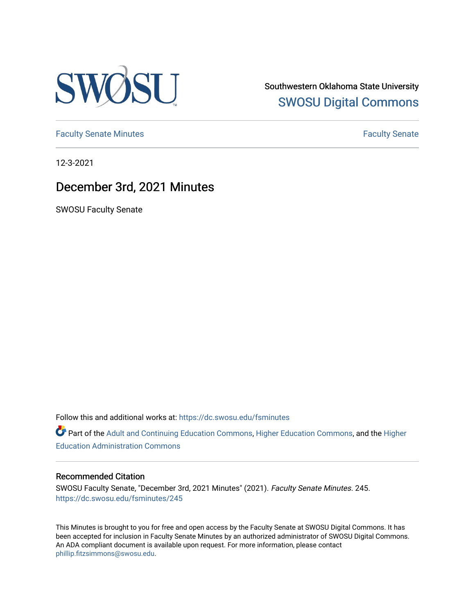

Southwestern Oklahoma State University [SWOSU Digital Commons](https://dc.swosu.edu/) 

[Faculty Senate Minutes](https://dc.swosu.edu/fsminutes) **Faculty** Senate Minutes

12-3-2021

## December 3rd, 2021 Minutes

SWOSU Faculty Senate

Follow this and additional works at: [https://dc.swosu.edu/fsminutes](https://dc.swosu.edu/fsminutes?utm_source=dc.swosu.edu%2Ffsminutes%2F245&utm_medium=PDF&utm_campaign=PDFCoverPages) 

Part of the [Adult and Continuing Education Commons,](http://network.bepress.com/hgg/discipline/1375?utm_source=dc.swosu.edu%2Ffsminutes%2F245&utm_medium=PDF&utm_campaign=PDFCoverPages) [Higher Education Commons,](http://network.bepress.com/hgg/discipline/1245?utm_source=dc.swosu.edu%2Ffsminutes%2F245&utm_medium=PDF&utm_campaign=PDFCoverPages) and the [Higher](http://network.bepress.com/hgg/discipline/791?utm_source=dc.swosu.edu%2Ffsminutes%2F245&utm_medium=PDF&utm_campaign=PDFCoverPages) [Education Administration Commons](http://network.bepress.com/hgg/discipline/791?utm_source=dc.swosu.edu%2Ffsminutes%2F245&utm_medium=PDF&utm_campaign=PDFCoverPages) 

#### Recommended Citation

SWOSU Faculty Senate, "December 3rd, 2021 Minutes" (2021). Faculty Senate Minutes. 245. [https://dc.swosu.edu/fsminutes/245](https://dc.swosu.edu/fsminutes/245?utm_source=dc.swosu.edu%2Ffsminutes%2F245&utm_medium=PDF&utm_campaign=PDFCoverPages) 

This Minutes is brought to you for free and open access by the Faculty Senate at SWOSU Digital Commons. It has been accepted for inclusion in Faculty Senate Minutes by an authorized administrator of SWOSU Digital Commons. An ADA compliant document is available upon request. For more information, please contact [phillip.fitzsimmons@swosu.edu](mailto:phillip.fitzsimmons@swosu.edu).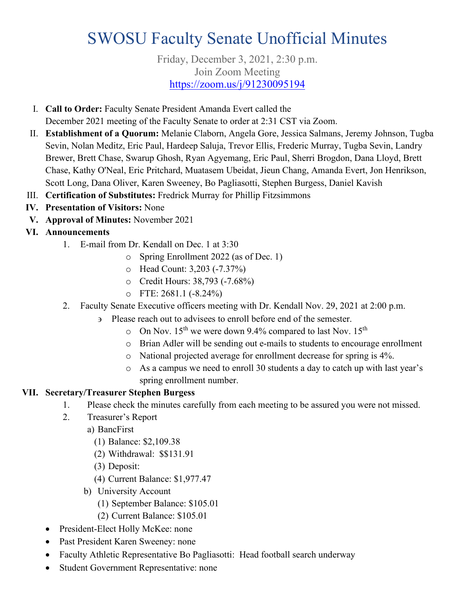# SWOSU Faculty Senate Unofficial Minutes

#### Friday, December 3, 2021, 2:30 p.m. Join Zoom Meeting <https://zoom.us/j/91230095194>

- I. **Call to Order:** Faculty Senate President Amanda Evert called the December 2021 meeting of the Faculty Senate to order at 2:31 CST via Zoom.
- II. **Establishment of a Quorum:** Melanie Claborn, Angela Gore, Jessica Salmans, Jeremy Johnson, Tugba Sevin, Nolan Meditz, Eric Paul, Hardeep Saluja, Trevor Ellis, Frederic Murray, Tugba Sevin, Landry Brewer, Brett Chase, Swarup Ghosh, Ryan Agyemang, Eric Paul, Sherri Brogdon, Dana Lloyd, Brett Chase, Kathy O'Neal, Eric Pritchard, Muatasem Ubeidat, Jieun Chang, Amanda Evert, Jon Henrikson, Scott Long, Dana Oliver, Karen Sweeney, Bo Pagliasotti, Stephen Burgess, Daniel Kavish
- III. **Certification of Substitutes:** Fredrick Murray for Phillip Fitzsimmons
- **IV. Presentation of Visitors:** None
- **V. Approval of Minutes:** November 2021
- **VI. Announcements**
	- 1. E-mail from Dr. Kendall on Dec. 1 at 3:30
		- o Spring Enrollment 2022 (as of Dec. 1)
		- o Head Count: 3,203 (-7.37%)
		- o Credit Hours: 38,793 (-7.68%)
		- o FTE: 2681.1 (-8.24%)
	- 2. Faculty Senate Executive officers meeting with Dr. Kendall Nov. 29, 2021 at 2:00 p.m.
		- ∋ Please reach out to advisees to enroll before end of the semester.
			- $\circ$  On Nov. 15<sup>th</sup> we were down 9.4% compared to last Nov. 15<sup>th</sup>
			- o Brian Adler will be sending out e-mails to students to encourage enrollment
			- o National projected average for enrollment decrease for spring is 4%.
			- o As a campus we need to enroll 30 students a day to catch up with last year's spring enrollment number.

### **VII. Secretary/Treasurer Stephen Burgess**

- 1. Please check the minutes carefully from each meeting to be assured you were not missed.
- 2. Treasurer's Report
	- a) BancFirst
		- (1) Balance: \$2,109.38
		- (2) Withdrawal: \$\$131.91
		- (3) Deposit:
		- (4) Current Balance: \$1,977.47
	- b) University Account
		- (1) September Balance: \$105.01
		- (2) Current Balance: \$105.01
- President-Elect Holly McKee: none
- Past President Karen Sweeney: none
- Faculty Athletic Representative Bo Pagliasotti: Head football search underway
- Student Government Representative: none